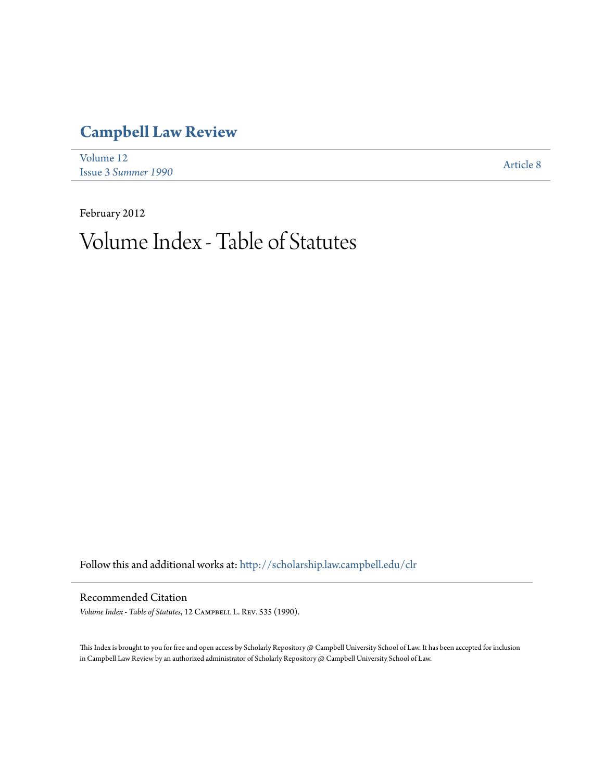# **[Campbell Law Review](http://scholarship.law.campbell.edu/clr?utm_source=scholarship.law.campbell.edu%2Fclr%2Fvol12%2Fiss3%2F8&utm_medium=PDF&utm_campaign=PDFCoverPages)**

| Volume 12                  | Article 8 |
|----------------------------|-----------|
| <b>Issue 3 Summer 1990</b> |           |

February 2012

# Volume Index - Table of Statutes

Follow this and additional works at: [http://scholarship.law.campbell.edu/clr](http://scholarship.law.campbell.edu/clr?utm_source=scholarship.law.campbell.edu%2Fclr%2Fvol12%2Fiss3%2F8&utm_medium=PDF&utm_campaign=PDFCoverPages)

#### Recommended Citation

*Volume Index - Table of Statutes*, 12 Campbell L. Rev. 535 (1990).

This Index is brought to you for free and open access by Scholarly Repository @ Campbell University School of Law. It has been accepted for inclusion in Campbell Law Review by an authorized administrator of Scholarly Repository @ Campbell University School of Law.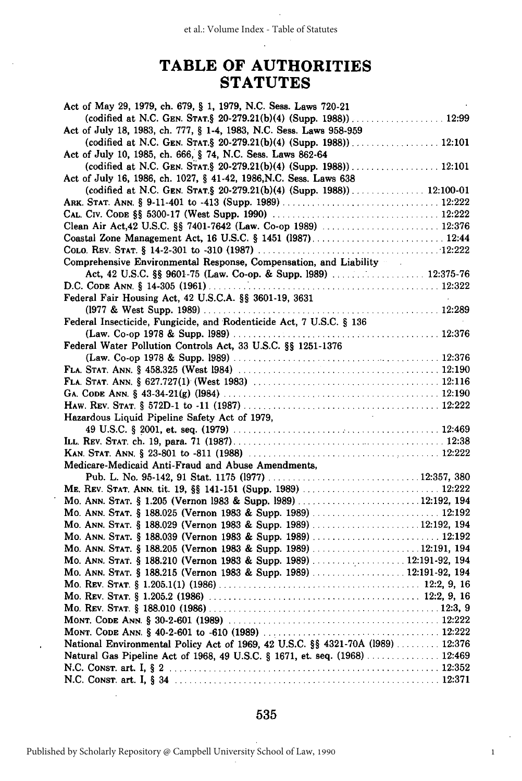## **TABLE OF AUTHORITIES STATUTES**

| Act of May 29, 1979, ch. 679, § 1, 1979, N.C. Sess. Laws 720-21                 |  |
|---------------------------------------------------------------------------------|--|
| (codified at N.C. GEN. STAT.§ 20-279.21(b)(4) (Supp. 1988)) 12:99               |  |
| Act of July 18, 1983, ch. 777, § 1-4, 1983, N.C. Sess. Laws 958-959             |  |
|                                                                                 |  |
| Act of July 10, 1985, ch. 666, § 74, N.C. Sess. Laws 862-64                     |  |
|                                                                                 |  |
| Act of July 16, 1986, ch. 1027, § 41-42, 1986, N.C. Sess. Laws 638              |  |
| (codified at N.C. GEN. STAT.§ 20-279.21(b)(4) (Supp. 1988)) 12:100-01           |  |
|                                                                                 |  |
|                                                                                 |  |
|                                                                                 |  |
|                                                                                 |  |
|                                                                                 |  |
| Comprehensive Environmental Response, Compensation, and Liability               |  |
|                                                                                 |  |
|                                                                                 |  |
| Federal Fair Housing Act, 42 U.S.C.A. §§ 3601-19, 3631                          |  |
|                                                                                 |  |
|                                                                                 |  |
| Federal Insecticide, Fungicide, and Rodenticide Act, 7 U.S.C. § 136             |  |
|                                                                                 |  |
| Federal Water Pollution Controls Act, 33 U.S.C. §§ 1251-1376                    |  |
|                                                                                 |  |
|                                                                                 |  |
|                                                                                 |  |
|                                                                                 |  |
|                                                                                 |  |
| Hazardous Liquid Pipeline Safety Act of 1979,                                   |  |
|                                                                                 |  |
|                                                                                 |  |
|                                                                                 |  |
| Medicare-Medicaid Anti-Fraud and Abuse Amendments,                              |  |
|                                                                                 |  |
|                                                                                 |  |
|                                                                                 |  |
|                                                                                 |  |
| Mo. ANN. STAT. § 188.029 (Vernon 1983 & Supp. 1989)  12:192, 194                |  |
|                                                                                 |  |
| Mo. ANN. STAT. § 188.205 (Vernon 1983 & Supp. 1989) 12:191, 194                 |  |
| Mo. ANN. STAT. § 188.210 (Vernon 1983 & Supp. 1989)  12:191-92, 194             |  |
| Mo. ANN. STAT. § 188.215 (Vernon 1983 & Supp. 1989)  12:191-92, 194             |  |
|                                                                                 |  |
|                                                                                 |  |
|                                                                                 |  |
|                                                                                 |  |
|                                                                                 |  |
| National Environmental Policy Act of 1969, 42 U.S.C. §§ 4321-70A (1989)  12:376 |  |
| Natural Gas Pipeline Act of 1968, 49 U.S.C. § 1671, et. seq. (1968)  12:469     |  |
|                                                                                 |  |
|                                                                                 |  |
|                                                                                 |  |

#### 535

1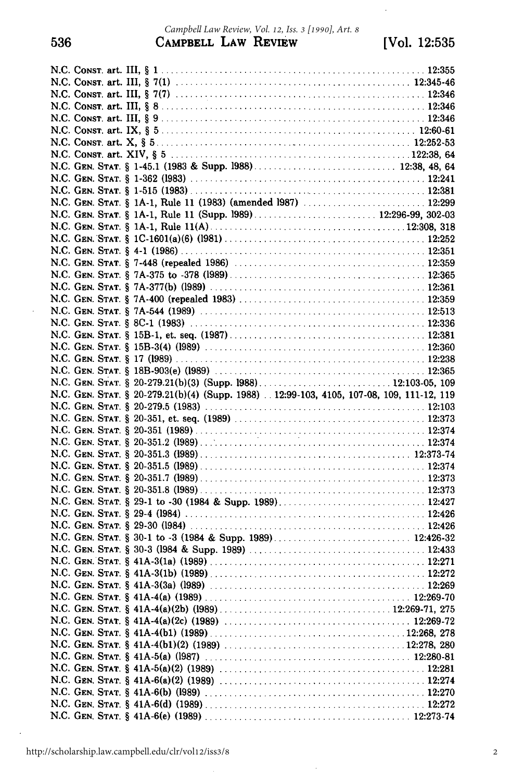#### **536** CAMPBELL LAW REVIEW [Vol. **12:535** *Campbell Law Review, Vol. 12, Iss. 3 [1990], Art. 8*

 $\ddot{\phantom{0}}$ 

|  | N.C. GEN. STAT. § 20-279.21(b)(4) (Supp. 1988)  12:99-103, 4105, 107-08, 109, 111-12, 119 |
|--|-------------------------------------------------------------------------------------------|
|  |                                                                                           |
|  |                                                                                           |
|  |                                                                                           |
|  |                                                                                           |
|  |                                                                                           |
|  |                                                                                           |
|  |                                                                                           |
|  |                                                                                           |
|  |                                                                                           |
|  |                                                                                           |
|  |                                                                                           |
|  |                                                                                           |
|  |                                                                                           |
|  |                                                                                           |
|  |                                                                                           |
|  |                                                                                           |
|  |                                                                                           |
|  |                                                                                           |
|  |                                                                                           |
|  |                                                                                           |
|  |                                                                                           |
|  |                                                                                           |
|  |                                                                                           |
|  |                                                                                           |
|  |                                                                                           |
|  |                                                                                           |

 $\bar{.}$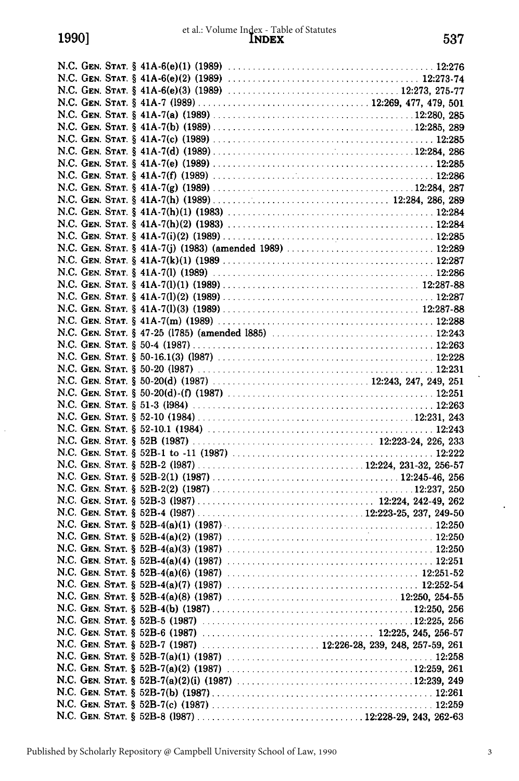$\ddot{\phantom{0}}$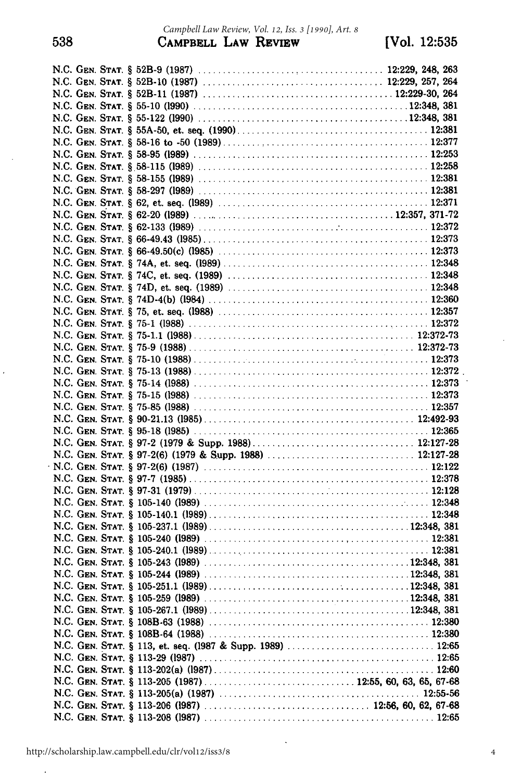$\ddot{\phantom{0}}$ 

 $\hat{\boldsymbol{\beta}}$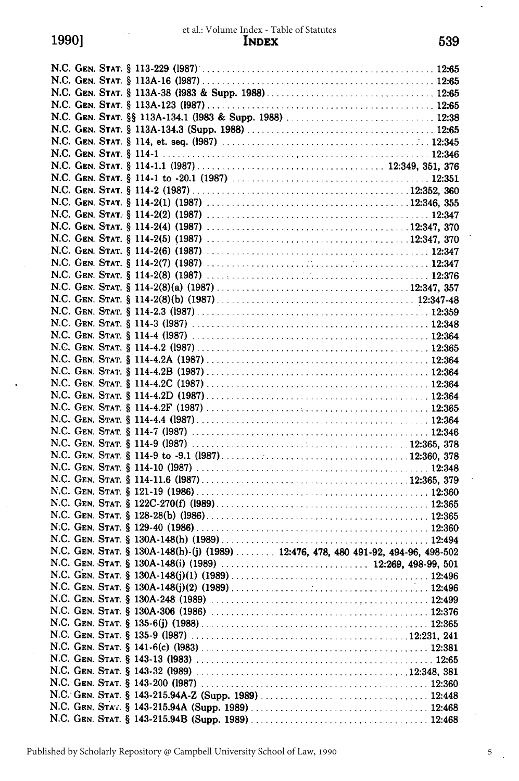|  | N.C. GEN. STAT. § 130A-148(h)-(j) (1989)  12:476, 478, 480 491-92, 494-96, 498-502 |  |
|--|------------------------------------------------------------------------------------|--|
|  |                                                                                    |  |
|  |                                                                                    |  |
|  |                                                                                    |  |
|  |                                                                                    |  |
|  |                                                                                    |  |
|  |                                                                                    |  |
|  |                                                                                    |  |
|  |                                                                                    |  |
|  |                                                                                    |  |

**N.C. GEN. STAT.** § 143-32 **(1989)** ........................................... 12:348, **381 N .C. GEN. STAT.** § 143-200 **(1987)** .............................................. **12:360 N.C. GEN. STAT.** § 143-215.94A-Z (Supp. **1989)** .................................. 12:448 **N.C. GEN. STAT.** § 143-215.94A (Supp. **1989)** .................................... 12:468 **N.C. GEN. STAT.** § 143-215.94B (Supp. **1989)** .................................... 12:468

5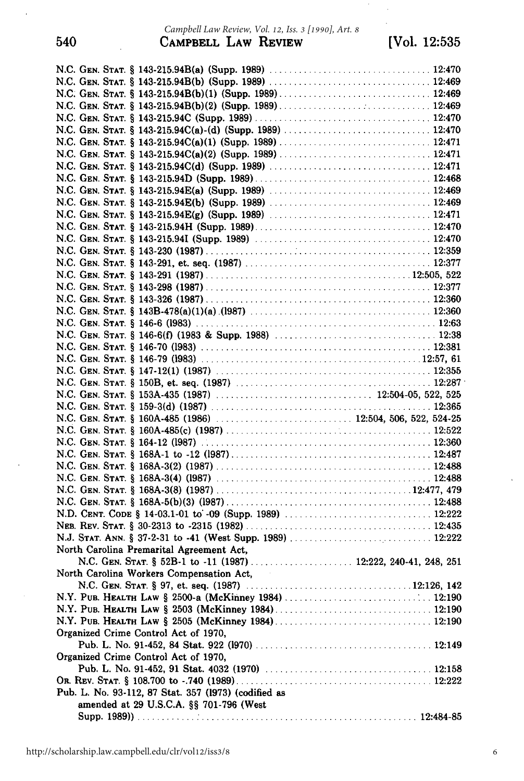#### 540 CAMPBELL LAW REVIEW [Vol. **12:535** *Campbell Law Review, Vol. 12, Iss. 3 [1990], Art. 8*

| North Carolina Premarital Agreement Act,             |
|------------------------------------------------------|
|                                                      |
| North Carolina Workers Compensation Act,             |
|                                                      |
|                                                      |
|                                                      |
|                                                      |
| Organized Crime Control Act of 1970,                 |
|                                                      |
| Organized Crime Control Act of 1970,                 |
|                                                      |
|                                                      |
| Pub. L. No. 93-112, 87 Stat. 357 (1973) (codified as |
| amended at 29 U.S.C.A. §§ 701-796 (West              |
|                                                      |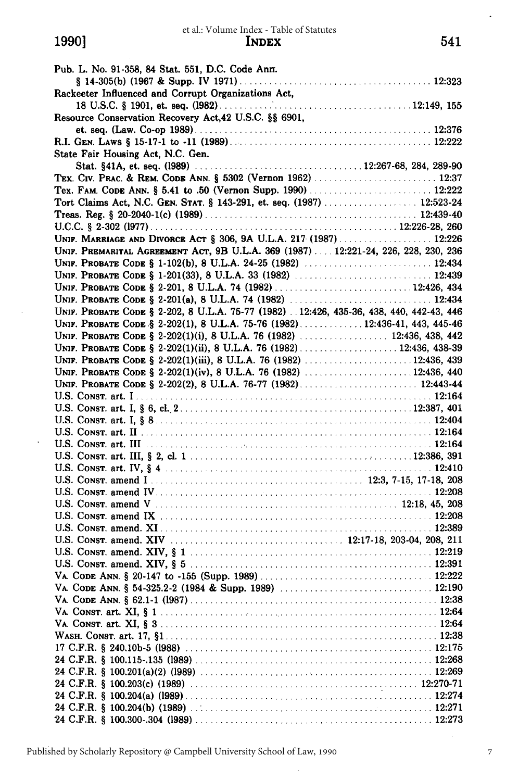| Pub. L. No. 91-358, 84 Stat. 551, D.C. Code Ann.                                         |
|------------------------------------------------------------------------------------------|
|                                                                                          |
| Rackeeter Influenced and Corrupt Organizations Act,                                      |
|                                                                                          |
| Resource Conservation Recovery Act, 42 U.S.C. §§ 6901,                                   |
|                                                                                          |
|                                                                                          |
| State Fair Housing Act, N.C. Gen.                                                        |
|                                                                                          |
| TEX. CIV. PRAC. & REM. CODE ANN. § 5302 (Vernon 1962)  12:37                             |
|                                                                                          |
| Tort Claims Act, N.C. GEN. STAT. § 143-291, et. seq. (1987)  12:523-24                   |
|                                                                                          |
|                                                                                          |
| UNIF. MARRIAGE AND DIVORCE ACT § 306, 9A U.L.A. 217 (1987) 12:226                        |
| UNIF. PREMARITAL AGREEMENT ACT, 9B U.L.A. 369 (1987)  12:221-24, 226, 228, 230, 236      |
|                                                                                          |
| UNIF. PROBATE CODE § 1-201(33), 8 U.L.A. 33 (1982)  12:439                               |
| UNIF. PROBATE CODE § 2-201, 8 U.L.A. 74 (1982) 12:426, 434                               |
|                                                                                          |
| UNIF. PROBATE CODE § 2-202, 8 U.L.A. 75-77 (1982)  12:426, 435-36, 438, 440, 442-43, 446 |
| UNIF. PROBATE CODE § 2-202(1), 8 U.L.A. 75-76 (1982) 12:436-41, 443, 445-46              |
| UNIF. PROBATE CODE § 2-202(1)(i), 8 U.L.A. 76 (1982)  12:436, 438, 442                   |
|                                                                                          |
|                                                                                          |
| UNIF. PROBATE CODE § 2-202(1)(iii), 8 U.L.A. 76 (1982) 12:436, 439                       |
| UNIF. PROBATE CODE § 2-202(1)(iv), 8 U.L.A. 76 (1982)  12:436, 440                       |
| UNIF. PROBATE CODE § 2-202(2), 8 U.L.A. 76-77 (1982) 12:443-44                           |
|                                                                                          |
|                                                                                          |
|                                                                                          |
|                                                                                          |
|                                                                                          |
|                                                                                          |
|                                                                                          |
|                                                                                          |
|                                                                                          |
|                                                                                          |
|                                                                                          |
|                                                                                          |
|                                                                                          |
|                                                                                          |
|                                                                                          |
|                                                                                          |
|                                                                                          |
|                                                                                          |
|                                                                                          |
|                                                                                          |
|                                                                                          |
|                                                                                          |
|                                                                                          |
|                                                                                          |
|                                                                                          |
|                                                                                          |
|                                                                                          |
|                                                                                          |

 $\ddot{\phantom{0}}$ 

 $\ddot{\phantom{0}}$ 

7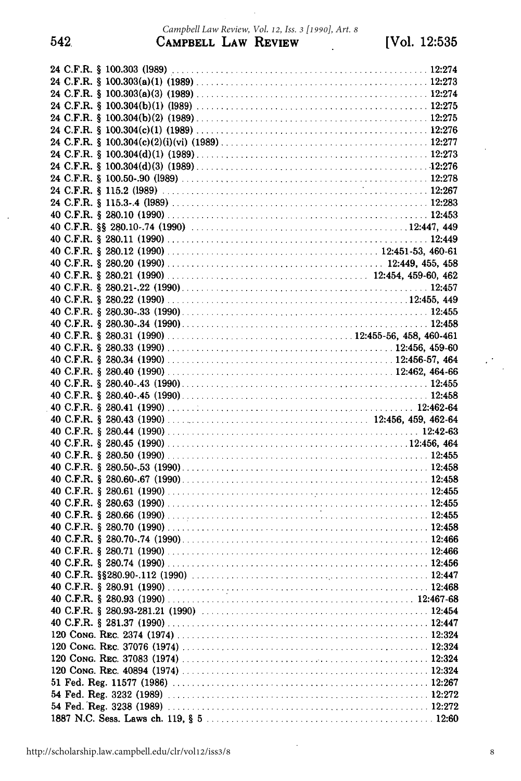542

 $\epsilon^{\rm (2)}$  $\ddot{\phantom{a}}$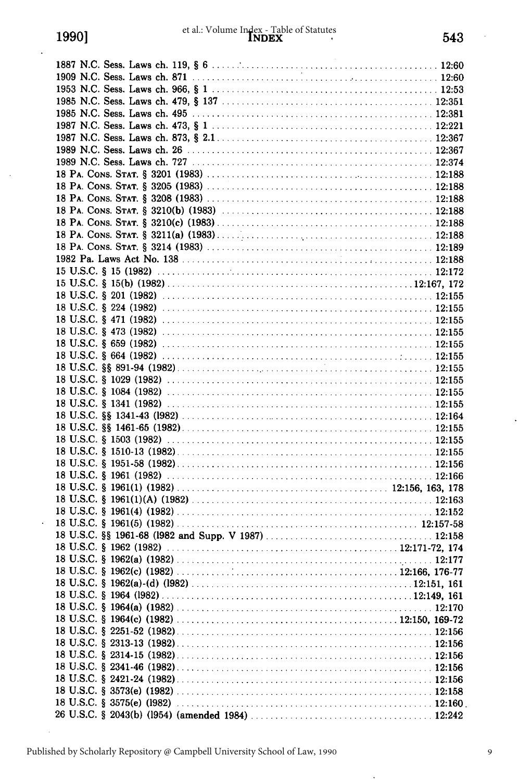$\ddot{\phantom{a}}$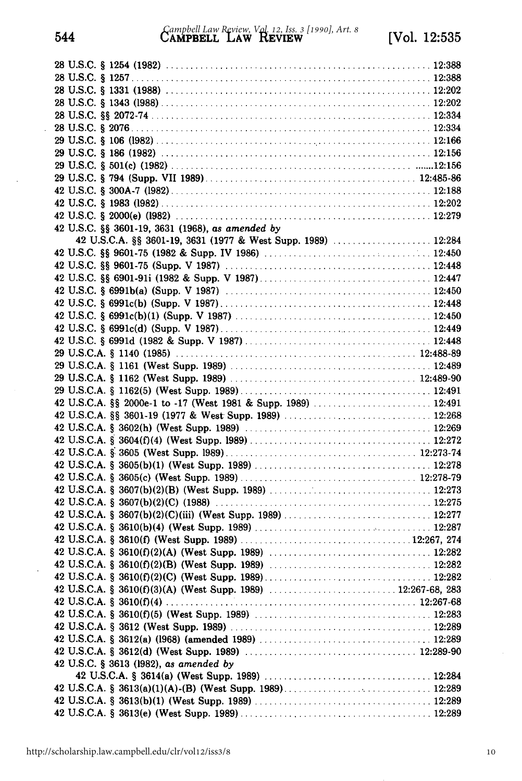| 42 U.S.C. §§ 3601-19, 3631 (1968), as amended by              |
|---------------------------------------------------------------|
| 42 U.S.C.A. §§ 3601-19, 3631 (1977 & West Supp. 1989)  12:284 |
|                                                               |
|                                                               |
|                                                               |
|                                                               |
|                                                               |
|                                                               |
|                                                               |
|                                                               |
|                                                               |
|                                                               |
|                                                               |
|                                                               |
|                                                               |
|                                                               |
|                                                               |
|                                                               |
|                                                               |
|                                                               |
|                                                               |
|                                                               |
|                                                               |
|                                                               |
|                                                               |
|                                                               |
|                                                               |
|                                                               |
|                                                               |
|                                                               |
|                                                               |
|                                                               |
|                                                               |
|                                                               |
|                                                               |
|                                                               |
| 42 U.S.C. § 3613 (1982), as amended by                        |
|                                                               |
|                                                               |
|                                                               |